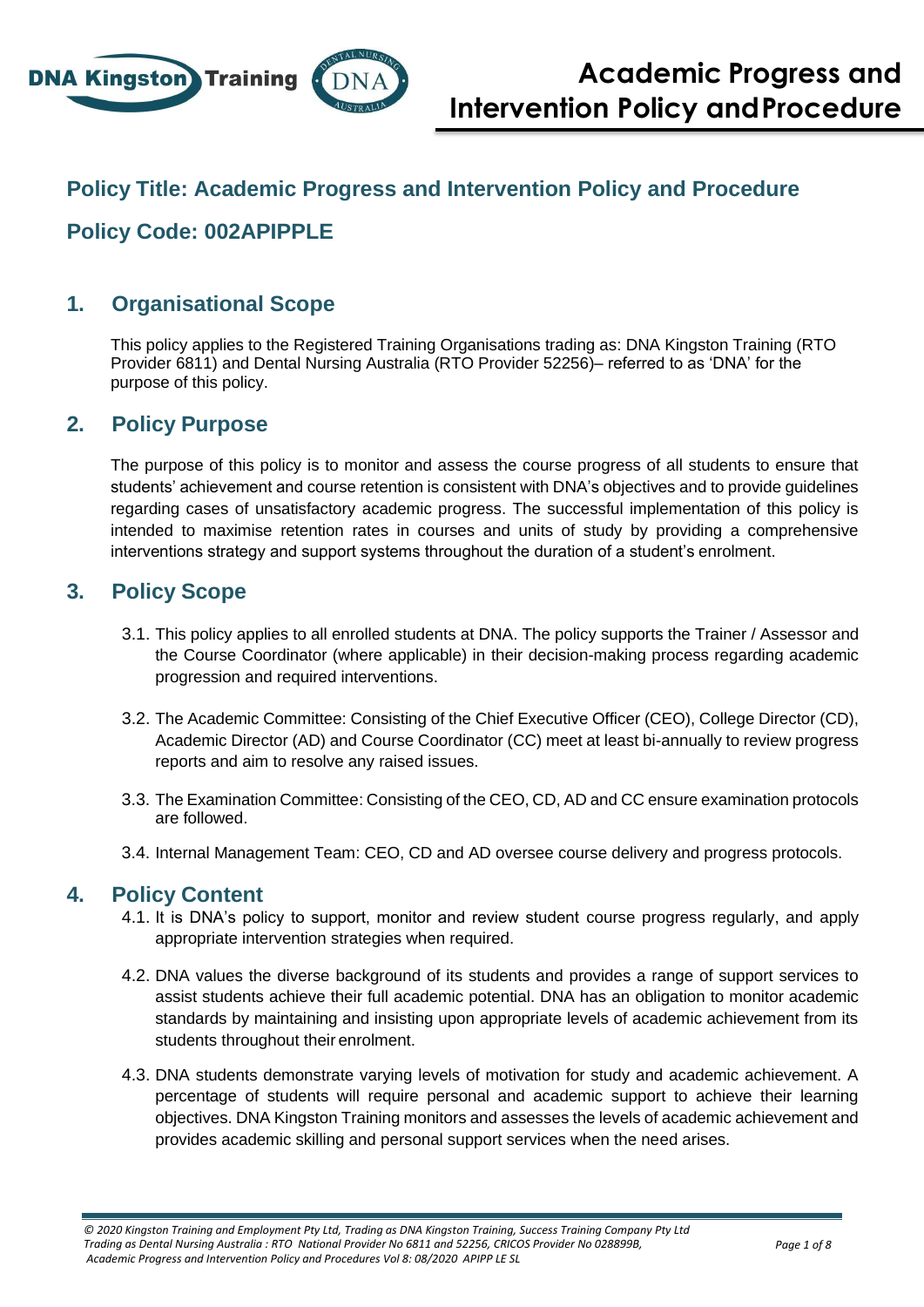

## **Policy Title: Academic Progress and Intervention Policy and Procedure**

# **Policy Code: 002APIPPLE**

### **1. Organisational Scope**

This policy applies to the Registered Training Organisations trading as: DNA Kingston Training (RTO Provider 6811) and Dental Nursing Australia (RTO Provider 52256)– referred to as 'DNA' for the purpose of this policy.

#### **2. Policy Purpose**

The purpose of this policy is to monitor and assess the course progress of all students to ensure that students' achievement and course retention is consistent with DNA's objectives and to provide guidelines regarding cases of unsatisfactory academic progress. The successful implementation of this policy is intended to maximise retention rates in courses and units of study by providing a comprehensive interventions strategy and support systems throughout the duration of a student's enrolment.

#### **3. Policy Scope**

- 3.1. This policy applies to all enrolled students at DNA. The policy supports the Trainer / Assessor and the Course Coordinator (where applicable) in their decision-making process regarding academic progression and required interventions.
- 3.2. The Academic Committee: Consisting of the Chief Executive Officer (CEO), College Director (CD), Academic Director (AD) and Course Coordinator (CC) meet at least bi-annually to review progress reports and aim to resolve any raised issues.
- 3.3. The Examination Committee: Consisting of the CEO, CD, AD and CC ensure examination protocols are followed.
- 3.4. Internal Management Team: CEO, CD and AD oversee course delivery and progress protocols.

#### **4. Policy Content**

- 4.1. It is DNA's policy to support, monitor and review student course progress regularly, and apply appropriate intervention strategies when required.
- 4.2. DNA values the diverse background of its students and provides a range of support services to assist students achieve their full academic potential. DNA has an obligation to monitor academic standards by maintaining and insisting upon appropriate levels of academic achievement from its students throughout their enrolment.
- 4.3. DNA students demonstrate varying levels of motivation for study and academic achievement. A percentage of students will require personal and academic support to achieve their learning objectives. DNA Kingston Training monitors and assesses the levels of academic achievement and provides academic skilling and personal support services when the need arises.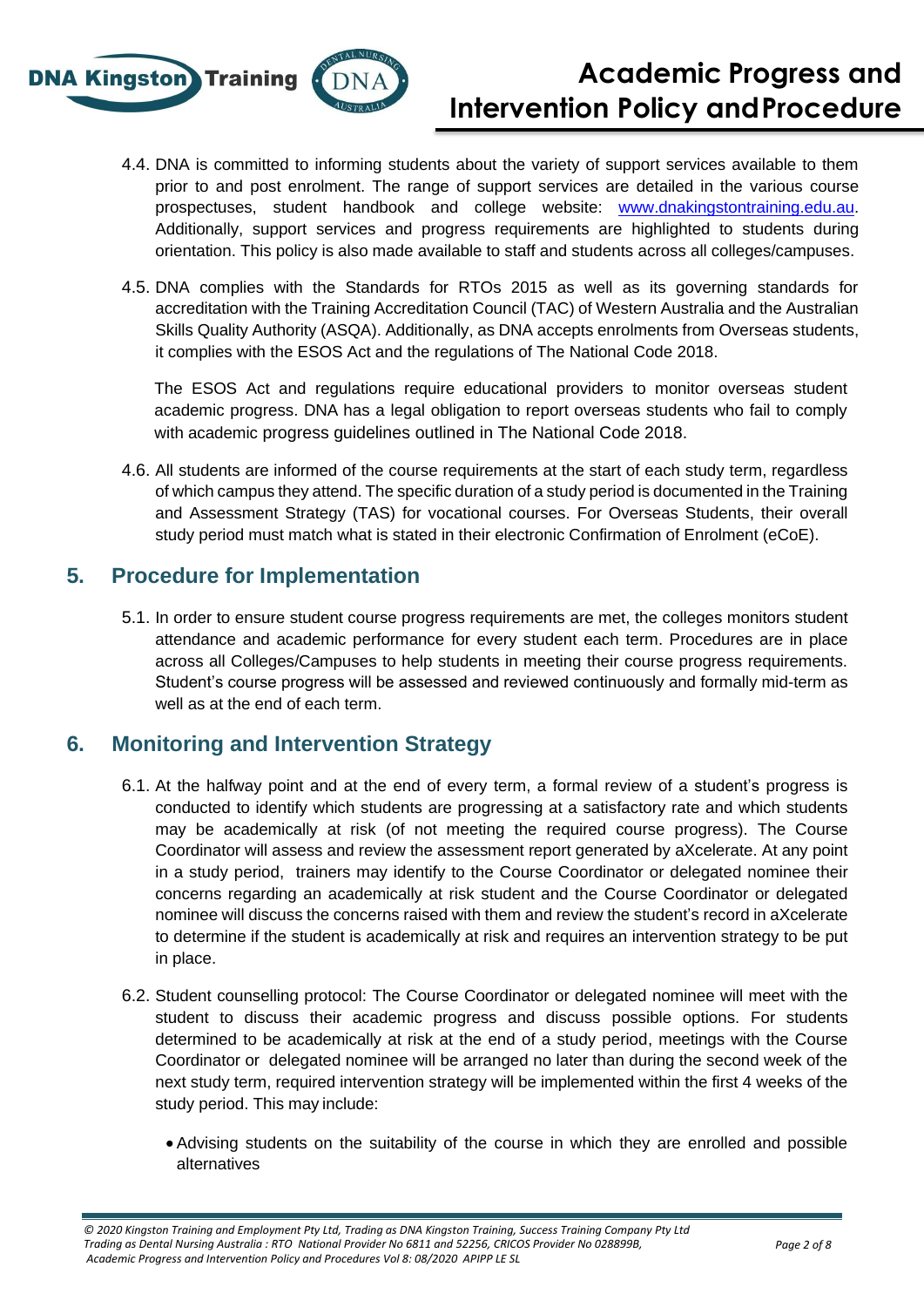

- 4.4. DNA is committed to informing students about the variety of support services available to them prior to and post enrolment. The range of support services are detailed in the various course prospectuses, student handbook and college website: [www.dnakingstontraining.edu.au.](http://www.dnakingstontraining.edu.au/) Additionally, support services and progress requirements are highlighted to students during orientation. This policy is also made available to staff and students across all colleges/campuses.
- 4.5. DNA complies with the Standards for RTOs 2015 as well as its governing standards for accreditation with the Training Accreditation Council (TAC) of Western Australia and the Australian Skills Quality Authority (ASQA). Additionally, as DNA accepts enrolments from Overseas students, it complies with the ESOS Act and the regulations of The National Code 2018.

The ESOS Act and regulations require educational providers to monitor overseas student academic progress. DNA has a legal obligation to report overseas students who fail to comply with academic progress guidelines outlined in The National Code 2018.

4.6. All students are informed of the course requirements at the start of each study term, regardless of which campus they attend. The specific duration of a study period is documented in the Training and Assessment Strategy (TAS) for vocational courses. For Overseas Students, their overall study period must match what is stated in their electronic Confirmation of Enrolment (eCoE).

# **5. Procedure for Implementation**

5.1. In order to ensure student course progress requirements are met, the colleges monitors student attendance and academic performance for every student each term. Procedures are in place across all Colleges/Campuses to help students in meeting their course progress requirements. Student's course progress will be assessed and reviewed continuously and formally mid-term as well as at the end of each term.

### **6. Monitoring and Intervention Strategy**

- 6.1. At the halfway point and at the end of every term, a formal review of a student's progress is conducted to identify which students are progressing at a satisfactory rate and which students may be academically at risk (of not meeting the required course progress). The Course Coordinator will assess and review the assessment report generated by aXcelerate. At any point in a study period, trainers may identify to the Course Coordinator or delegated nominee their concerns regarding an academically at risk student and the Course Coordinator or delegated nominee will discuss the concerns raised with them and review the student's record in aXcelerate to determine if the student is academically at risk and requires an intervention strategy to be put in place.
- 6.2. Student counselling protocol: The Course Coordinator or delegated nominee will meet with the student to discuss their academic progress and discuss possible options. For students determined to be academically at risk at the end of a study period, meetings with the Course Coordinator or delegated nominee will be arranged no later than during the second week of the next study term, required intervention strategy will be implemented within the first 4 weeks of the study period. This may include:
	- Advising students on the suitability of the course in which they are enrolled and possible alternatives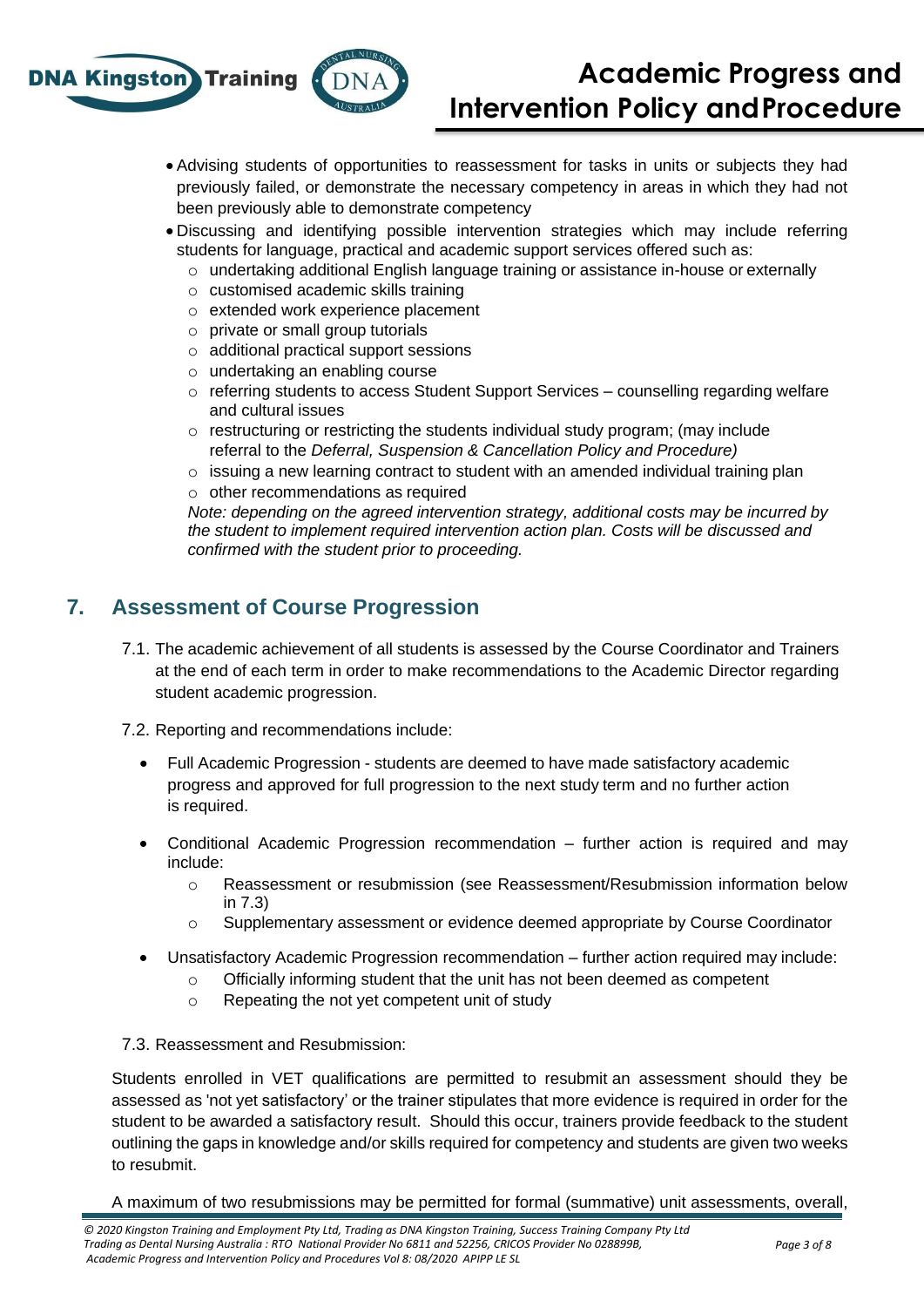

- Advising students of opportunities to reassessment for tasks in units or subjects they had previously failed, or demonstrate the necessary competency in areas in which they had not been previously able to demonstrate competency
- Discussing and identifying possible intervention strategies which may include referring students for language, practical and academic support services offered such as:
	- $\circ$  undertaking additional English language training or assistance in-house or externally
	- o customised academic skills training
	- o extended work experience placement
	- o private or small group tutorials
	- o additional practical support sessions
	- o undertaking an enabling course
	- $\circ$  referring students to access Student Support Services counselling regarding welfare and cultural issues
	- $\circ$  restructuring or restricting the students individual study program; (may include referral to the *Deferral, Suspension & Cancellation Policy and Procedure)*
	- $\circ$  issuing a new learning contract to student with an amended individual training plan o other recommendations as required

*Note: depending on the agreed intervention strategy, additional costs may be incurred by the student to implement required intervention action plan. Costs will be discussed and confirmed with the student prior to proceeding.* 

# **7. Assessment of Course Progression**

- 7.1. The academic achievement of all students is assessed by the Course Coordinator and Trainers at the end of each term in order to make recommendations to the Academic Director regarding student academic progression.
- 7.2. Reporting and recommendations include:
	- Full Academic Progression students are deemed to have made satisfactory academic progress and approved for full progression to the next study term and no further action is required.
	- Conditional Academic Progression recommendation further action is required and may include:
		- o Reassessment or resubmission (see Reassessment/Resubmission information below in 7.3)
		- o Supplementary assessment or evidence deemed appropriate by Course Coordinator
	- Unsatisfactory Academic Progression recommendation further action required may include:
		- $\circ$  Officially informing student that the unit has not been deemed as competent
		- o Repeating the not yet competent unit of study

#### 7.3. Reassessment and Resubmission:

Students enrolled in VET qualifications are permitted to resubmit an assessment should they be assessed as 'not yet satisfactory' or the trainer stipulates that more evidence is required in order for the student to be awarded a satisfactory result. Should this occur, trainers provide feedback to the student outlining the gaps in knowledge and/or skills required for competency and students are given two weeks to resubmit.

#### A maximum of two resubmissions may be permitted for formal (summative) unit assessments, overall,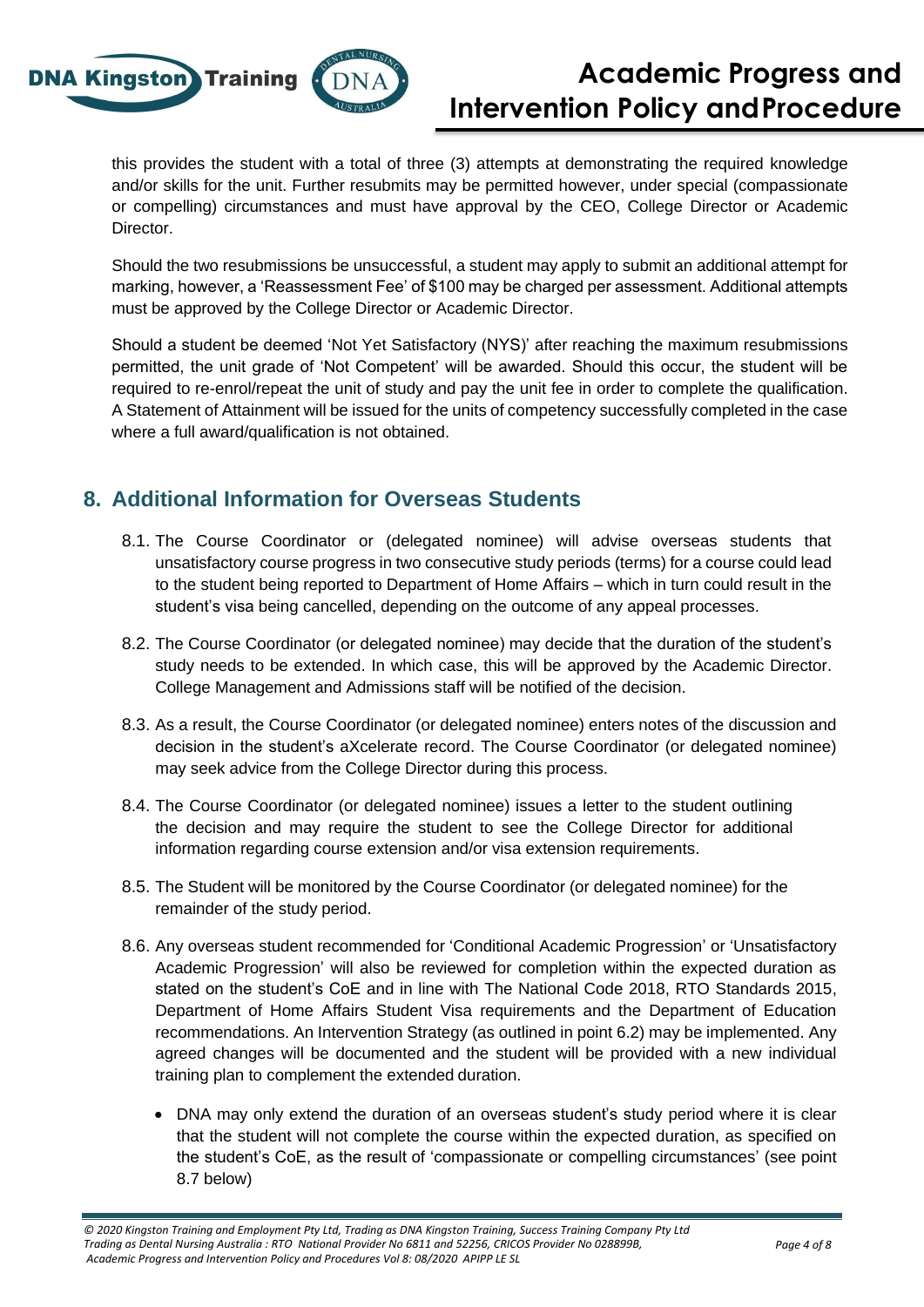

this provides the student with a total of three (3) attempts at demonstrating the required knowledge and/or skills for the unit. Further resubmits may be permitted however, under special (compassionate or compelling) circumstances and must have approval by the CEO, College Director or Academic Director.

Should the two resubmissions be unsuccessful, a student may apply to submit an additional attempt for marking, however, a 'Reassessment Fee' of \$100 may be charged per assessment. Additional attempts must be approved by the College Director or Academic Director.

Should a student be deemed 'Not Yet Satisfactory (NYS)' after reaching the maximum resubmissions permitted, the unit grade of 'Not Competent' will be awarded. Should this occur, the student will be required to re-enrol/repeat the unit of study and pay the unit fee in order to complete the qualification. A Statement of Attainment will be issued for the units of competency successfully completed in the case where a full award/qualification is not obtained.

# **8. Additional Information for Overseas Students**

- 8.1. The Course Coordinator or (delegated nominee) will advise overseas students that unsatisfactory course progress in two consecutive study periods (terms) for a course could lead to the student being reported to Department of Home Affairs – which in turn could result in the student's visa being cancelled, depending on the outcome of any appeal processes.
- 8.2. The Course Coordinator (or delegated nominee) may decide that the duration of the student's study needs to be extended. In which case, this will be approved by the Academic Director. College Management and Admissions staff will be notified of the decision.
- 8.3. As a result, the Course Coordinator (or delegated nominee) enters notes of the discussion and decision in the student's aXcelerate record. The Course Coordinator (or delegated nominee) may seek advice from the College Director during this process.
- 8.4. The Course Coordinator (or delegated nominee) issues a letter to the student outlining the decision and may require the student to see the College Director for additional information regarding course extension and/or visa extension requirements.
- 8.5. The Student will be monitored by the Course Coordinator (or delegated nominee) for the remainder of the study period.
- 8.6. Any overseas student recommended for 'Conditional Academic Progression' or 'Unsatisfactory Academic Progression' will also be reviewed for completion within the expected duration as stated on the student's CoE and in line with The National Code 2018, RTO Standards 2015, Department of Home Affairs Student Visa requirements and the Department of Education recommendations. An Intervention Strategy (as outlined in point 6.2) may be implemented. Any agreed changes will be documented and the student will be provided with a new individual training plan to complement the extended duration.
	- DNA may only extend the duration of an overseas student's study period where it is clear that the student will not complete the course within the expected duration, as specified on the student's CoE, as the result of 'compassionate or compelling circumstances' (see point 8.7 below)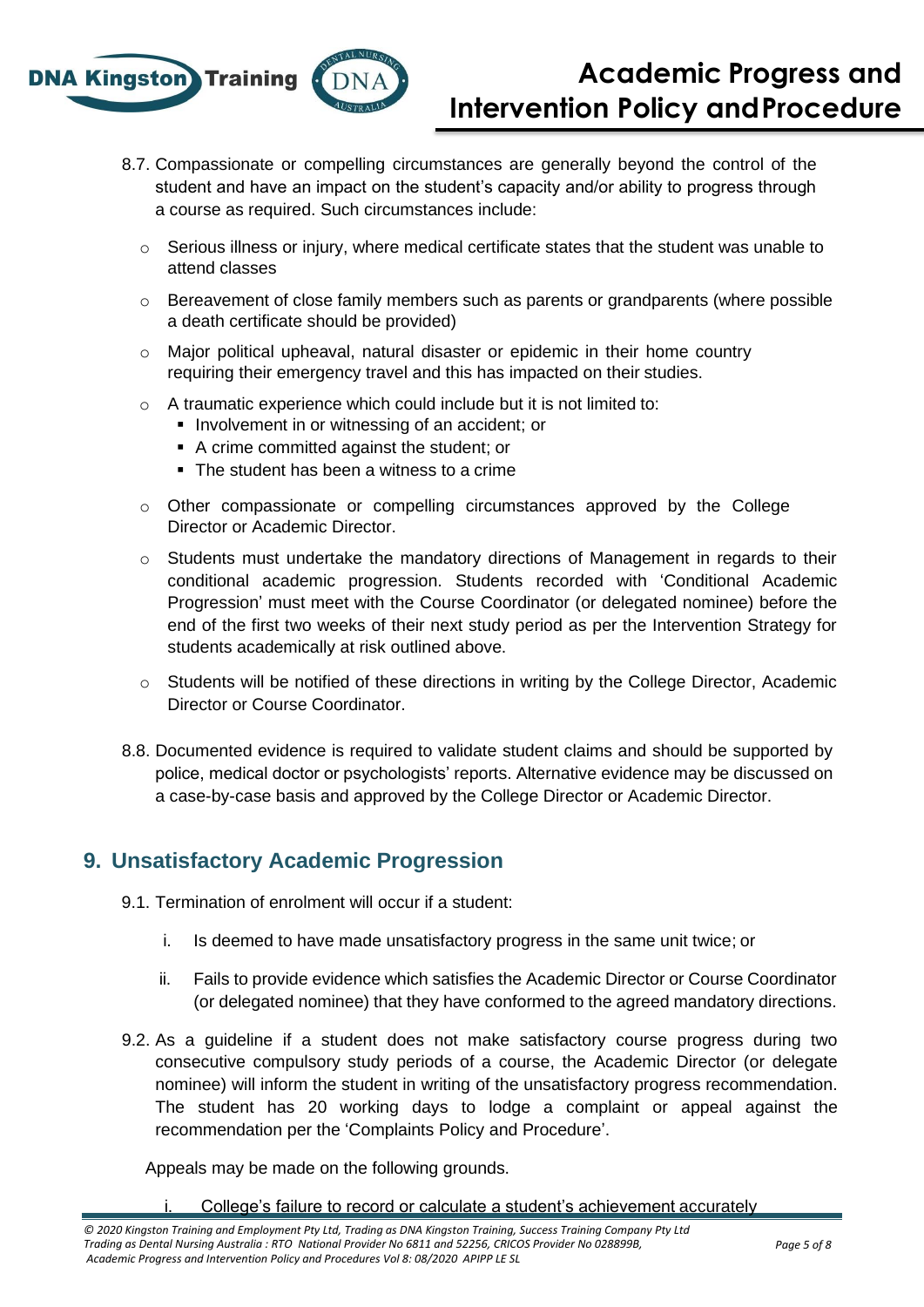

- 8.7. Compassionate or compelling circumstances are generally beyond the control of the student and have an impact on the student's capacity and/or ability to progress through a course as required. Such circumstances include:
	- $\circ$  Serious illness or injury, where medical certificate states that the student was unable to attend classes
	- $\circ$  Bereavement of close family members such as parents or grandparents (where possible a death certificate should be provided)
	- o Major political upheaval, natural disaster or epidemic in their home country requiring their emergency travel and this has impacted on their studies.
	- o A traumatic experience which could include but it is not limited to:
		- **.** Involvement in or witnessing of an accident; or
		- A crime committed against the student; or
		- The student has been a witness to a crime
	- o Other compassionate or compelling circumstances approved by the College Director or Academic Director.
	- o Students must undertake the mandatory directions of Management in regards to their conditional academic progression. Students recorded with 'Conditional Academic Progression' must meet with the Course Coordinator (or delegated nominee) before the end of the first two weeks of their next study period as per the Intervention Strategy for students academically at risk outlined above.
	- o Students will be notified of these directions in writing by the College Director, Academic Director or Course Coordinator.
- 8.8. Documented evidence is required to validate student claims and should be supported by police, medical doctor or psychologists' reports. Alternative evidence may be discussed on a case-by-case basis and approved by the College Director or Academic Director.

# **9. Unsatisfactory Academic Progression**

- 9.1. Termination of enrolment will occur if a student:
	- i. Is deemed to have made unsatisfactory progress in the same unit twice; or
	- ii. Fails to provide evidence which satisfies the Academic Director or Course Coordinator (or delegated nominee) that they have conformed to the agreed mandatory directions.
- 9.2. As a guideline if a student does not make satisfactory course progress during two consecutive compulsory study periods of a course, the Academic Director (or delegate nominee) will inform the student in writing of the unsatisfactory progress recommendation. The student has 20 working days to lodge a complaint or appeal against the recommendation per the 'Complaints Policy and Procedure'.

Appeals may be made on the following grounds.

College's failure to record or calculate a student's achievement accurately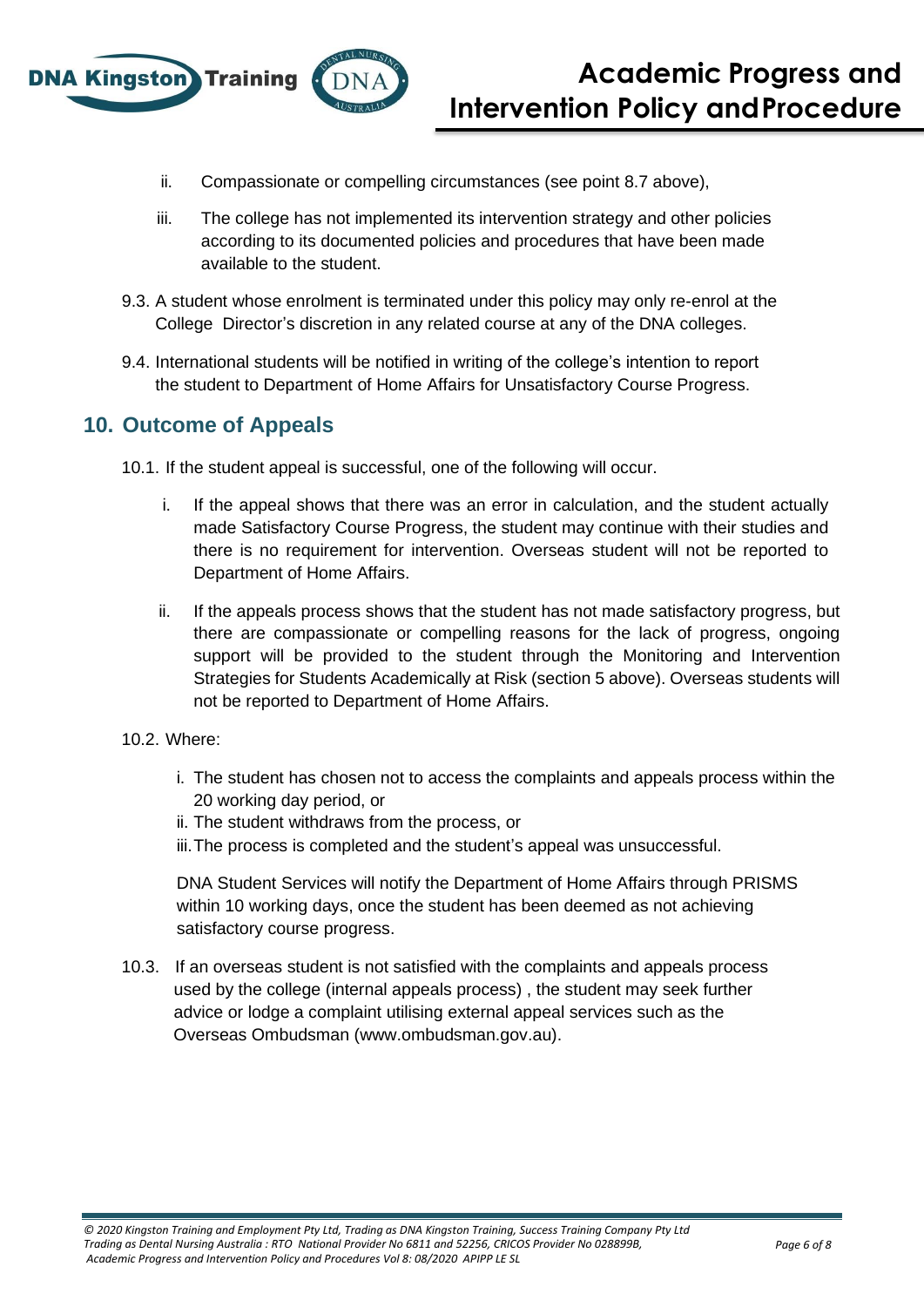

- ii. Compassionate or compelling circumstances (see point 8.7 above),
- iii. The college has not implemented its intervention strategy and other policies according to its documented policies and procedures that have been made available to the student.
- 9.3. A student whose enrolment is terminated under this policy may only re-enrol at the College Director's discretion in any related course at any of the DNA colleges.
- 9.4. International students will be notified in writing of the college's intention to report the student to Department of Home Affairs for Unsatisfactory Course Progress.

## **10. Outcome of Appeals**

10.1. If the student appeal is successful, one of the following will occur.

- i. If the appeal shows that there was an error in calculation, and the student actually made Satisfactory Course Progress, the student may continue with their studies and there is no requirement for intervention. Overseas student will not be reported to Department of Home Affairs.
- ii. If the appeals process shows that the student has not made satisfactory progress, but there are compassionate or compelling reasons for the lack of progress, ongoing support will be provided to the student through the Monitoring and Intervention Strategies for Students Academically at Risk (section 5 above). Overseas students will not be reported to Department of Home Affairs.
- 10.2. Where:
	- i. The student has chosen not to access the complaints and appeals process within the 20 working day period, or
	- ii. The student withdraws from the process, or
	- iii.The process is completed and the student's appeal was unsuccessful.

DNA Student Services will notify the Department of Home Affairs through PRISMS within 10 working days, once the student has been deemed as not achieving satisfactory course progress.

10.3. If an overseas student is not satisfied with the complaints and appeals process used by the college (internal appeals process) , the student may seek further advice or lodge a complaint utilising external appeal services such as the Overseas Ombudsman (www.ombudsman.gov.au).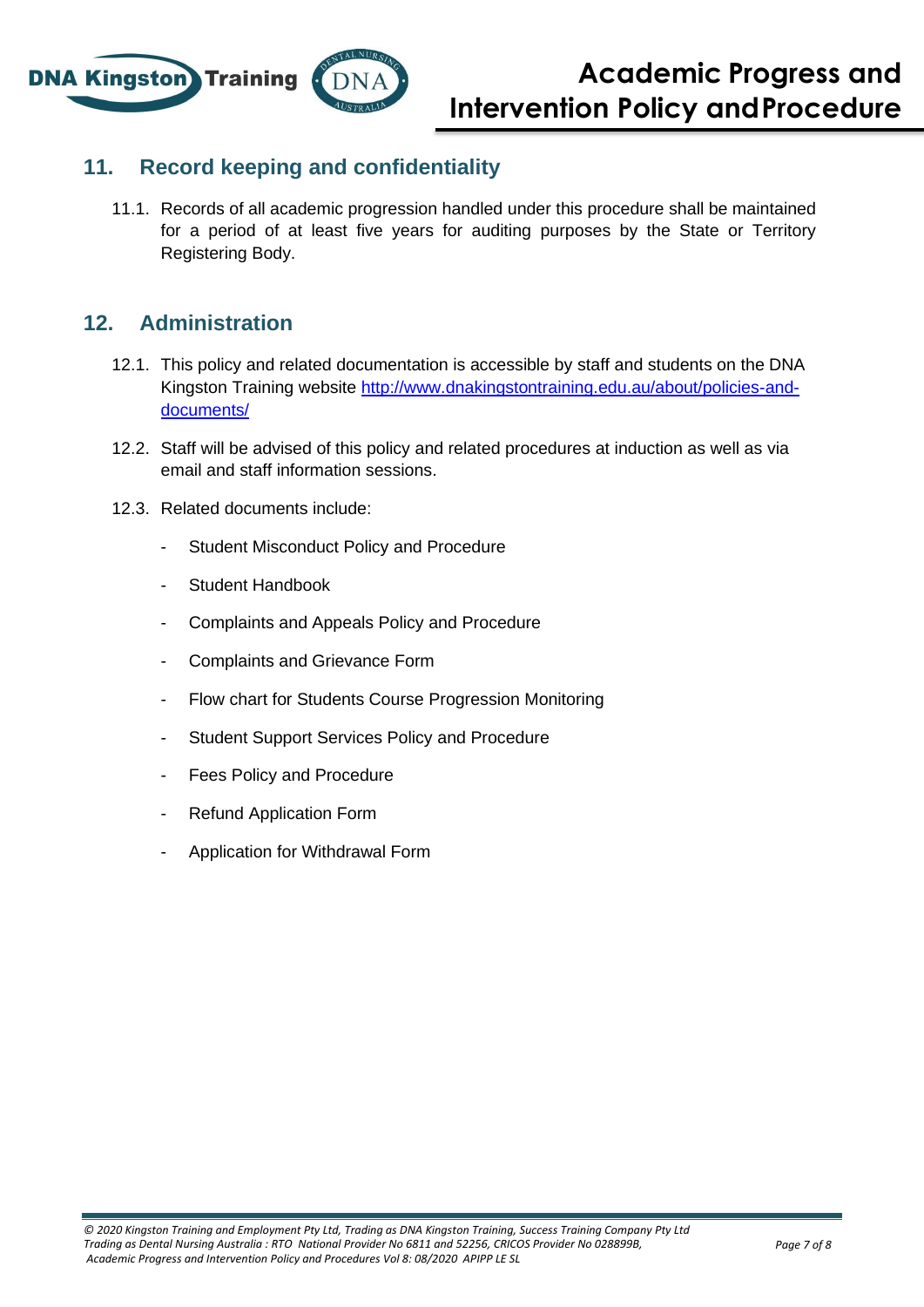

## **11. Record keeping and confidentiality**

11.1. Records of all academic progression handled under this procedure shall be maintained for a period of at least five years for auditing purposes by the State or Territory Registering Body.

## **12. Administration**

- 12.1. This policy and related documentation is accessible by staff and students on the DNA Kingston Training website [http://www.dnakingstontraining.edu.au/about/policies-and](http://www.dnakingstontraining.edu.au/about/policies-and-documents/)[documents/](http://www.dnakingstontraining.edu.au/about/policies-and-documents/)
- 12.2. Staff will be advised of this policy and related procedures at induction as well as via email and staff information sessions.
- 12.3. Related documents include:
	- Student Misconduct Policy and Procedure
	- Student Handbook
	- Complaints and Appeals Policy and Procedure
	- Complaints and Grievance Form
	- Flow chart for Students Course Progression Monitoring
	- Student Support Services Policy and Procedure
	- Fees Policy and Procedure
	- Refund Application Form
	- Application for Withdrawal Form